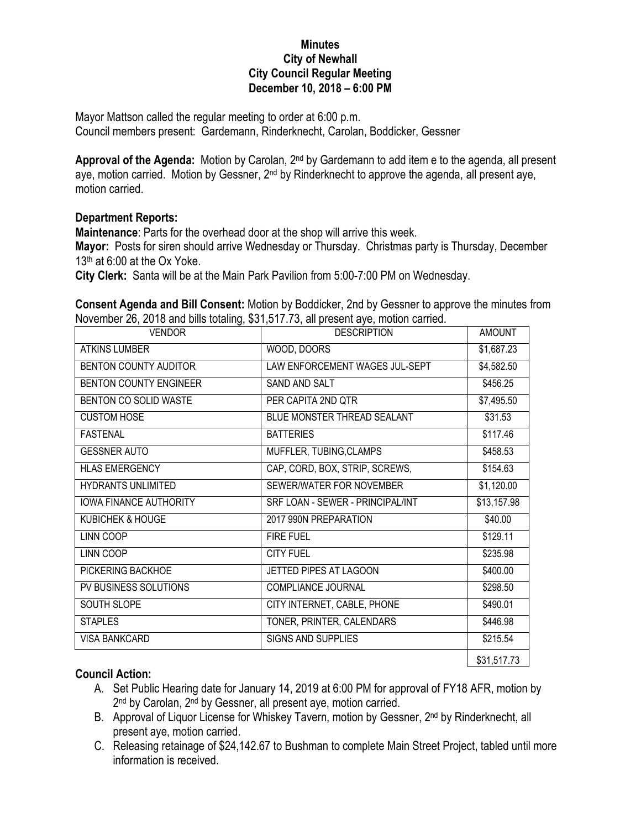## **Minutes City of Newhall City Council Regular Meeting December 10, 2018 – 6:00 PM**

Mayor Mattson called the regular meeting to order at 6:00 p.m. Council members present: Gardemann, Rinderknecht, Carolan, Boddicker, Gessner

**Approval of the Agenda:** Motion by Carolan, 2nd by Gardemann to add item e to the agenda, all present aye, motion carried. Motion by Gessner, 2<sup>nd</sup> by Rinderknecht to approve the agenda, all present aye, motion carried.

## **Department Reports:**

**Maintenance**: Parts for the overhead door at the shop will arrive this week.

**Mayor:** Posts for siren should arrive Wednesday or Thursday. Christmas party is Thursday, December  $13<sup>th</sup>$  at 6:00 at the Ox Yoke.

**City Clerk:** Santa will be at the Main Park Pavilion from 5:00-7:00 PM on Wednesday.

**Consent Agenda and Bill Consent:** Motion by Boddicker, 2nd by Gessner to approve the minutes from November 26, 2018 and bills totaling, \$31,517.73, all present aye, motion carried.

| <b>VENDOR</b>                 | <b>DESCRIPTION</b>               | <b>AMOUNT</b> |
|-------------------------------|----------------------------------|---------------|
| <b>ATKINS LUMBER</b>          | WOOD, DOORS                      | \$1,687.23    |
| BENTON COUNTY AUDITOR         | LAW ENFORCEMENT WAGES JUL-SEPT   | \$4,582.50    |
| <b>BENTON COUNTY ENGINEER</b> | SAND AND SALT                    | \$456.25      |
| BENTON CO SOLID WASTE         | PER CAPITA 2ND QTR               | \$7,495.50    |
| <b>CUSTOM HOSE</b>            | BLUE MONSTER THREAD SEALANT      | \$31.53       |
| <b>FASTENAL</b>               | <b>BATTERIES</b>                 | \$117.46      |
| <b>GESSNER AUTO</b>           | MUFFLER, TUBING, CLAMPS          | \$458.53      |
| <b>HLAS EMERGENCY</b>         | CAP, CORD, BOX, STRIP, SCREWS,   | \$154.63      |
| <b>HYDRANTS UNLIMITED</b>     | SEWER/WATER FOR NOVEMBER         | \$1,120.00    |
| <b>IOWA FINANCE AUTHORITY</b> | SRF LOAN - SEWER - PRINCIPAL/INT | \$13,157.98   |
| <b>KUBICHEK &amp; HOUGE</b>   | 2017 990N PREPARATION            | \$40.00       |
| LINN COOP                     | <b>FIRE FUEL</b>                 | \$129.11      |
| LINN COOP                     | <b>CITY FUEL</b>                 | \$235.98      |
| PICKERING BACKHOE             | JETTED PIPES AT LAGOON           | \$400.00      |
| PV BUSINESS SOLUTIONS         | COMPLIANCE JOURNAL               | \$298.50      |
| SOUTH SLOPE                   | CITY INTERNET, CABLE, PHONE      | \$490.01      |
| <b>STAPLES</b>                | TONER, PRINTER, CALENDARS        | \$446.98      |
| <b>VISA BANKCARD</b>          | <b>SIGNS AND SUPPLIES</b>        | \$215.54      |
|                               |                                  | \$31,517.73   |

## **Council Action:**

- A. Set Public Hearing date for January 14, 2019 at 6:00 PM for approval of FY18 AFR, motion by 2<sup>nd</sup> by Carolan, 2<sup>nd</sup> by Gessner, all present aye, motion carried.
- B. Approval of Liquor License for Whiskey Tavern, motion by Gessner, 2<sup>nd</sup> by Rinderknecht, all present aye, motion carried.
- C. Releasing retainage of \$24,142.67 to Bushman to complete Main Street Project, tabled until more information is received.